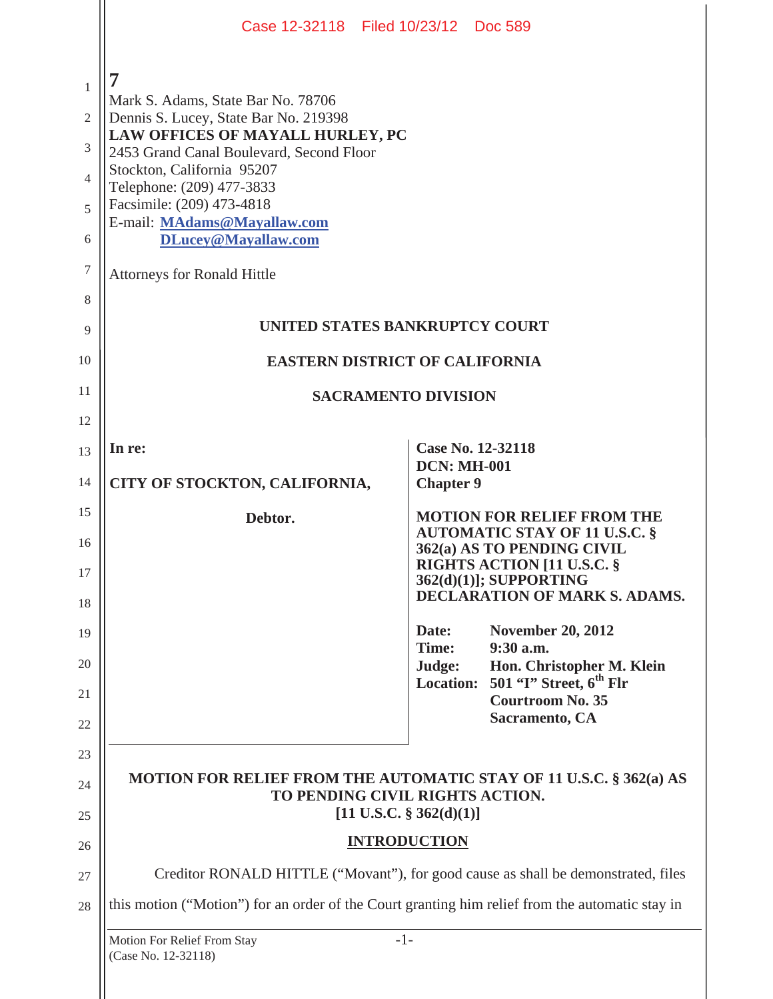|                                                                                | Case 12-32118 Filed 10/23/12 Doc 589                                                                                                                                                                                                                                                                                                                 |                                                                                                          |  |
|--------------------------------------------------------------------------------|------------------------------------------------------------------------------------------------------------------------------------------------------------------------------------------------------------------------------------------------------------------------------------------------------------------------------------------------------|----------------------------------------------------------------------------------------------------------|--|
| $\mathbf{1}$<br>$\mathfrak{2}$<br>3<br>$\overline{4}$<br>5<br>6<br>7<br>8<br>9 | 7<br>Mark S. Adams, State Bar No. 78706<br>Dennis S. Lucey, State Bar No. 219398<br>LAW OFFICES OF MAYALL HURLEY, PC<br>2453 Grand Canal Boulevard, Second Floor<br>Stockton, California 95207<br>Telephone: (209) 477-3833<br>Facsimile: (209) 473-4818<br>E-mail: MAdams@Mayallaw.com<br>DLucey@Mayallaw.com<br><b>Attorneys for Ronald Hittle</b> | UNITED STATES BANKRUPTCY COURT                                                                           |  |
| 10                                                                             | <b>EASTERN DISTRICT OF CALIFORNIA</b>                                                                                                                                                                                                                                                                                                                |                                                                                                          |  |
| 11                                                                             | <b>SACRAMENTO DIVISION</b>                                                                                                                                                                                                                                                                                                                           |                                                                                                          |  |
| 12                                                                             |                                                                                                                                                                                                                                                                                                                                                      |                                                                                                          |  |
| 13                                                                             | In re:                                                                                                                                                                                                                                                                                                                                               | Case No. 12-32118<br><b>DCN: MH-001</b>                                                                  |  |
| 14                                                                             | CITY OF STOCKTON, CALIFORNIA,                                                                                                                                                                                                                                                                                                                        | <b>Chapter 9</b>                                                                                         |  |
| 15                                                                             |                                                                                                                                                                                                                                                                                                                                                      |                                                                                                          |  |
|                                                                                | Debtor.                                                                                                                                                                                                                                                                                                                                              | <b>MOTION FOR RELIEF FROM THE</b>                                                                        |  |
| 16                                                                             |                                                                                                                                                                                                                                                                                                                                                      | <b>AUTOMATIC STAY OF 11 U.S.C. §</b><br>362(a) AS TO PENDING CIVIL                                       |  |
| 17                                                                             |                                                                                                                                                                                                                                                                                                                                                      | <b>RIGHTS ACTION [11 U.S.C. §</b><br>362(d)(1)]; SUPPORTING                                              |  |
| 18                                                                             |                                                                                                                                                                                                                                                                                                                                                      | <b>DECLARATION OF MARK S. ADAMS.</b>                                                                     |  |
| 19                                                                             |                                                                                                                                                                                                                                                                                                                                                      | <b>November 20, 2012</b><br>Date:<br>Time:<br>9:30 a.m.                                                  |  |
| 20                                                                             |                                                                                                                                                                                                                                                                                                                                                      | Hon. Christopher M. Klein<br>Judge:<br>501 "T" Street, $6th$ Flr<br><b>Location:</b>                     |  |
| 21<br>22                                                                       |                                                                                                                                                                                                                                                                                                                                                      | <b>Courtroom No. 35</b><br>Sacramento, CA                                                                |  |
| 23                                                                             |                                                                                                                                                                                                                                                                                                                                                      |                                                                                                          |  |
| 24                                                                             |                                                                                                                                                                                                                                                                                                                                                      | MOTION FOR RELIEF FROM THE AUTOMATIC STAY OF 11 U.S.C. § 362(a) AS<br>TO PENDING CIVIL RIGHTS ACTION.    |  |
| 25                                                                             |                                                                                                                                                                                                                                                                                                                                                      | $[11 \text{ U.S.C. } $362(d)(1)]$                                                                        |  |
| 26                                                                             |                                                                                                                                                                                                                                                                                                                                                      | <b>INTRODUCTION</b>                                                                                      |  |
| 27                                                                             |                                                                                                                                                                                                                                                                                                                                                      | Creditor RONALD HITTLE ("Movant"), for good cause as shall be demonstrated, files                        |  |
| 28                                                                             | Motion For Relief From Stay                                                                                                                                                                                                                                                                                                                          | this motion ("Motion") for an order of the Court granting him relief from the automatic stay in<br>$-1-$ |  |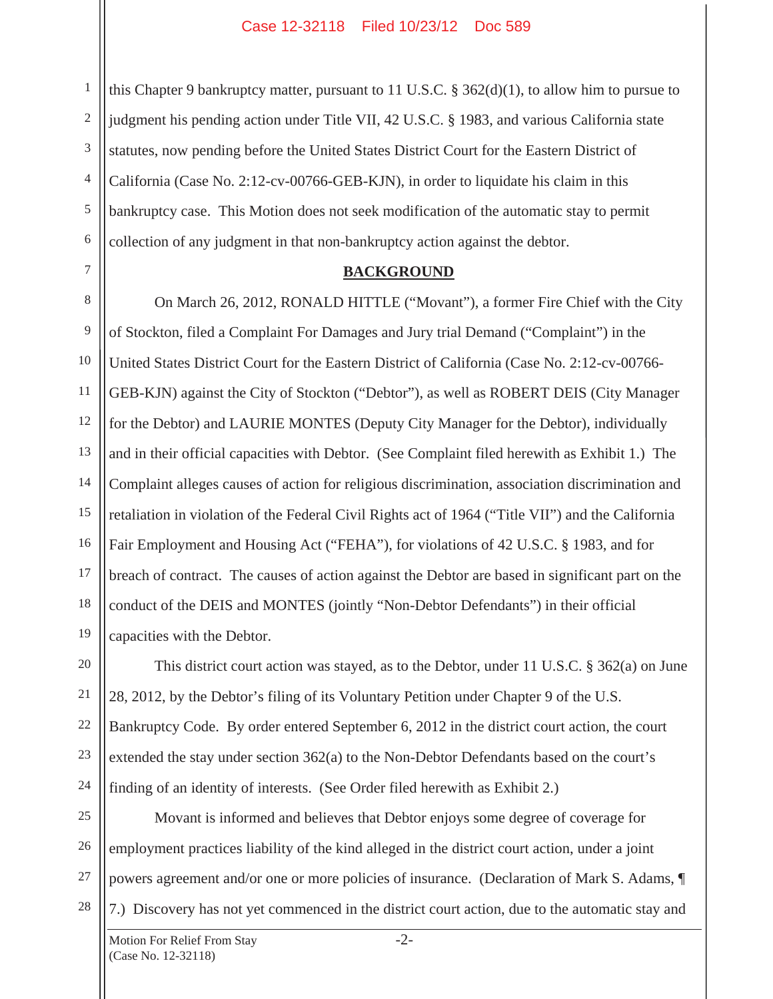1 2 3 4 5 6 this Chapter 9 bankruptcy matter, pursuant to 11 U.S.C. § 362(d)(1), to allow him to pursue to judgment his pending action under Title VII, 42 U.S.C. § 1983, and various California state statutes, now pending before the United States District Court for the Eastern District of California (Case No. 2:12-cv-00766-GEB-KJN), in order to liquidate his claim in this bankruptcy case. This Motion does not seek modification of the automatic stay to permit collection of any judgment in that non-bankruptcy action against the debtor.

7

20

21

22

23

24

#### **BACKGROUND**

8 9 10 11 12 13 14 15 16 17 18 19 On March 26, 2012, RONALD HITTLE ("Movant"), a former Fire Chief with the City of Stockton, filed a Complaint For Damages and Jury trial Demand ("Complaint") in the United States District Court for the Eastern District of California (Case No. 2:12-cv-00766- GEB-KJN) against the City of Stockton ("Debtor"), as well as ROBERT DEIS (City Manager for the Debtor) and LAURIE MONTES (Deputy City Manager for the Debtor), individually and in their official capacities with Debtor. (See Complaint filed herewith as Exhibit 1.) The Complaint alleges causes of action for religious discrimination, association discrimination and retaliation in violation of the Federal Civil Rights act of 1964 ("Title VII") and the California Fair Employment and Housing Act ("FEHA"), for violations of 42 U.S.C. § 1983, and for breach of contract. The causes of action against the Debtor are based in significant part on the conduct of the DEIS and MONTES (jointly "Non-Debtor Defendants") in their official capacities with the Debtor.

This district court action was stayed, as to the Debtor, under 11 U.S.C. § 362(a) on June 28, 2012, by the Debtor's filing of its Voluntary Petition under Chapter 9 of the U.S. Bankruptcy Code. By order entered September 6, 2012 in the district court action, the court extended the stay under section 362(a) to the Non-Debtor Defendants based on the court's finding of an identity of interests. (See Order filed herewith as Exhibit 2.)

25 26 27 28 Movant is informed and believes that Debtor enjoys some degree of coverage for employment practices liability of the kind alleged in the district court action, under a joint powers agreement and/or one or more policies of insurance. (Declaration of Mark S. Adams, ¶ 7.) Discovery has not yet commenced in the district court action, due to the automatic stay and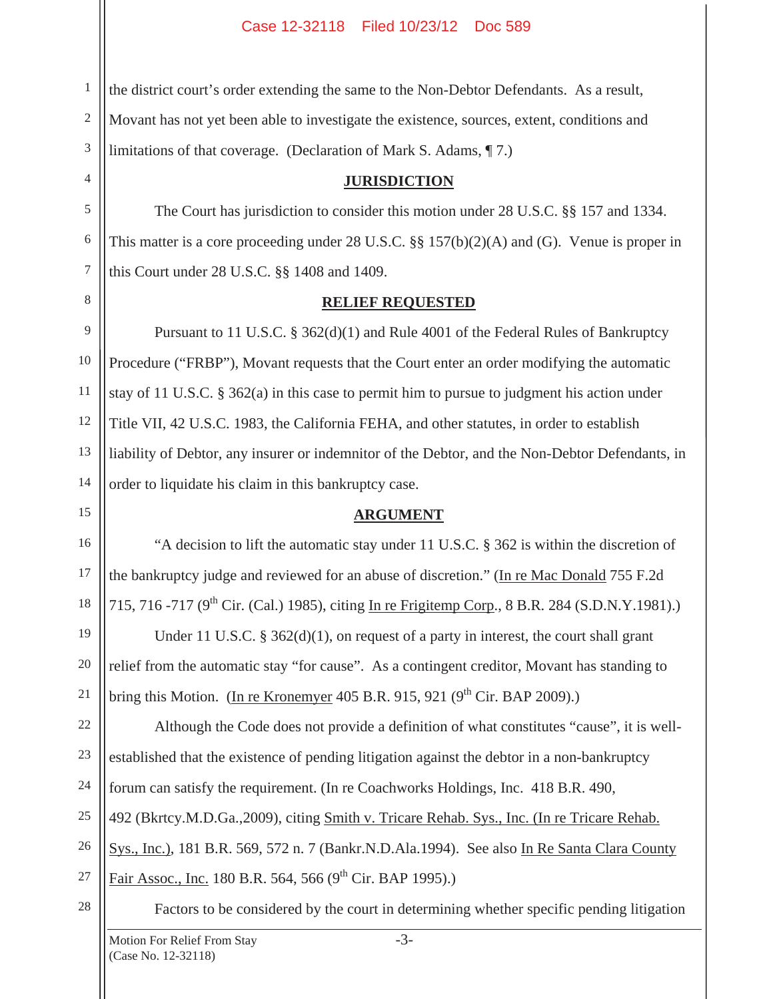1 2 3 the district court's order extending the same to the Non-Debtor Defendants. As a result, Movant has not yet been able to investigate the existence, sources, extent, conditions and limitations of that coverage. (Declaration of Mark S. Adams, ¶ 7.)

### **JURISDICTION**

 The Court has jurisdiction to consider this motion under 28 U.S.C. §§ 157 and 1334. This matter is a core proceeding under 28 U.S.C. §§ 157(b)(2)(A) and (G). Venue is proper in this Court under 28 U.S.C. §§ 1408 and 1409.

# **RELIEF REQUESTED**

 Pursuant to 11 U.S.C. § 362(d)(1) and Rule 4001 of the Federal Rules of Bankruptcy Procedure ("FRBP"), Movant requests that the Court enter an order modifying the automatic stay of 11 U.S.C. § 362(a) in this case to permit him to pursue to judgment his action under Title VII, 42 U.S.C. 1983, the California FEHA, and other statutes, in order to establish liability of Debtor, any insurer or indemnitor of the Debtor, and the Non-Debtor Defendants, in order to liquidate his claim in this bankruptcy case.

# **ARGUMENT**

 "A decision to lift the automatic stay under 11 U.S.C. § 362 is within the discretion of the bankruptcy judge and reviewed for an abuse of discretion." (In re Mac Donald 755 F.2d 715, 716 -717 (9<sup>th</sup> Cir. (Cal.) 1985), citing In re Frigitemp Corp., 8 B.R. 284 (S.D.N.Y.1981).)

Under 11 U.S.C.  $\S 362(d)(1)$ , on request of a party in interest, the court shall grant relief from the automatic stay "for cause". As a contingent creditor, Movant has standing to bring this Motion. (In re Kronemyer 405 B.R. 915, 921 ( $9<sup>th</sup>$  Cir. BAP 2009).)

22 23 24 25 26 27 Although the Code does not provide a definition of what constitutes "cause", it is wellestablished that the existence of pending litigation against the debtor in a non-bankruptcy forum can satisfy the requirement. (In re Coachworks Holdings, Inc. 418 B.R. 490, 492 (Bkrtcy.M.D.Ga.,2009), citing Smith v. Tricare Rehab. Sys., Inc. (In re Tricare Rehab. Sys., Inc.), 181 B.R. 569, 572 n. 7 (Bankr.N.D.Ala.1994). See also In Re Santa Clara County Fair Assoc., Inc. 180 B.R. 564, 566  $(9^{th}$  Cir. BAP 1995).)

28

4

5

6

7

8

9

10

11

12

13

14

15

16

17

18

19

20

21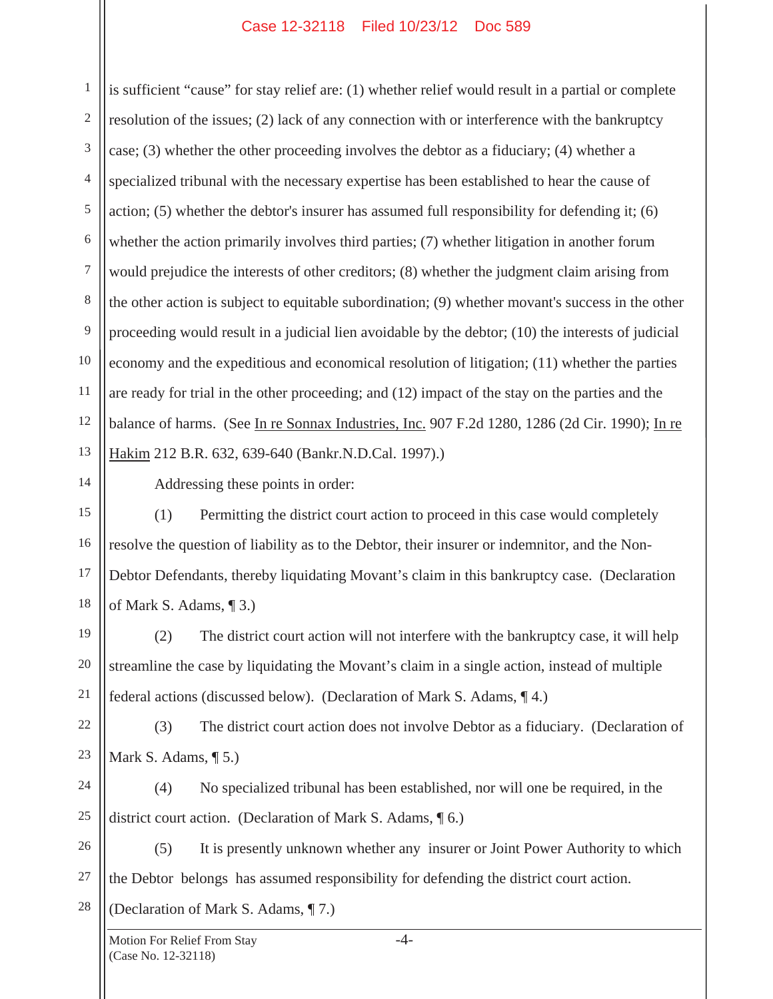1 2 3 4 5 6 7 8 9 10 11 12 13 is sufficient "cause" for stay relief are: (1) whether relief would result in a partial or complete resolution of the issues; (2) lack of any connection with or interference with the bankruptcy case; (3) whether the other proceeding involves the debtor as a fiduciary; (4) whether a specialized tribunal with the necessary expertise has been established to hear the cause of action; (5) whether the debtor's insurer has assumed full responsibility for defending it; (6) whether the action primarily involves third parties; (7) whether litigation in another forum would prejudice the interests of other creditors; (8) whether the judgment claim arising from the other action is subject to equitable subordination; (9) whether movant's success in the other proceeding would result in a judicial lien avoidable by the debtor; (10) the interests of judicial economy and the expeditious and economical resolution of litigation; (11) whether the parties are ready for trial in the other proceeding; and (12) impact of the stay on the parties and the balance of harms. (See In re Sonnax Industries, Inc. 907 F.2d 1280, 1286 (2d Cir. 1990); In re Hakim 212 B.R. 632, 639-640 (Bankr.N.D.Cal. 1997).)

14 15

16

17

18

21

Addressing these points in order:

 (1) Permitting the district court action to proceed in this case would completely resolve the question of liability as to the Debtor, their insurer or indemnitor, and the Non-Debtor Defendants, thereby liquidating Movant's claim in this bankruptcy case. (Declaration of Mark S. Adams, ¶ 3.)

19 20 (2) The district court action will not interfere with the bankruptcy case, it will help streamline the case by liquidating the Movant's claim in a single action, instead of multiple federal actions (discussed below). (Declaration of Mark S. Adams, ¶ 4.)

22 23 (3) The district court action does not involve Debtor as a fiduciary. (Declaration of Mark S. Adams, ¶ 5.)

24 25 (4) No specialized tribunal has been established, nor will one be required, in the district court action. (Declaration of Mark S. Adams, ¶ 6.)

26 27 28 (5) It is presently unknown whether any insurer or Joint Power Authority to which the Debtor belongs has assumed responsibility for defending the district court action. (Declaration of Mark S. Adams, ¶ 7.)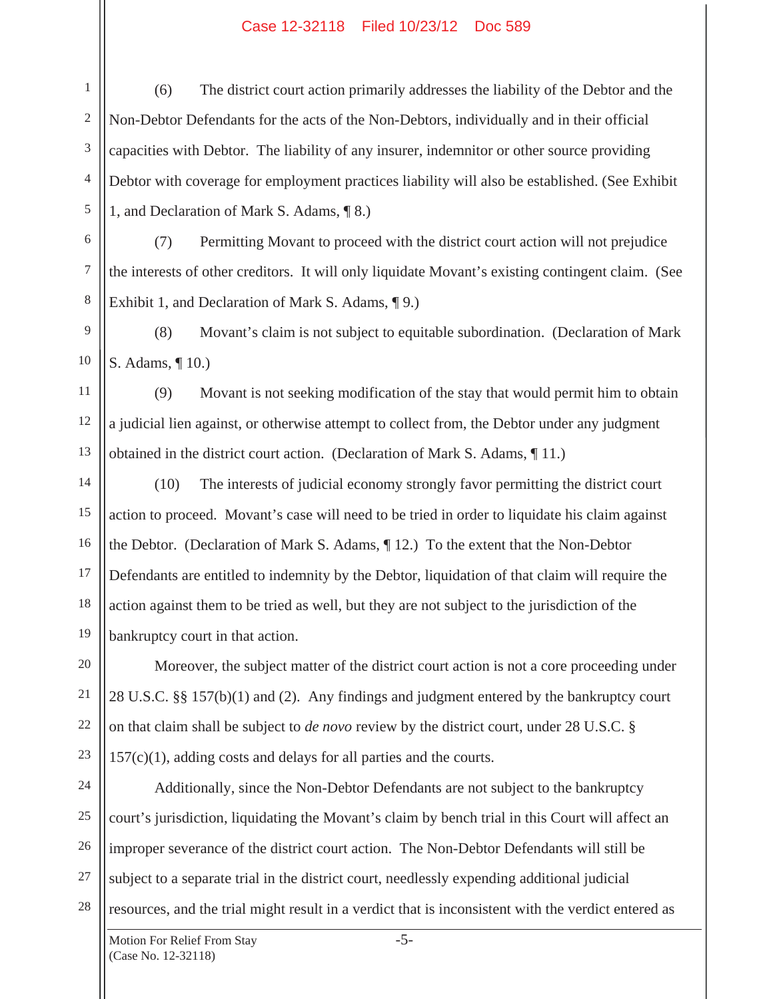1 2 3 4 5 (6) The district court action primarily addresses the liability of the Debtor and the Non-Debtor Defendants for the acts of the Non-Debtors, individually and in their official capacities with Debtor. The liability of any insurer, indemnitor or other source providing Debtor with coverage for employment practices liability will also be established. (See Exhibit 1, and Declaration of Mark S. Adams, ¶ 8.)

 (7) Permitting Movant to proceed with the district court action will not prejudice the interests of other creditors. It will only liquidate Movant's existing contingent claim. (See Exhibit 1, and Declaration of Mark S. Adams, ¶ 9.)

 (8) Movant's claim is not subject to equitable subordination. (Declaration of Mark S. Adams, ¶ 10.)

 (9) Movant is not seeking modification of the stay that would permit him to obtain a judicial lien against, or otherwise attempt to collect from, the Debtor under any judgment obtained in the district court action. (Declaration of Mark S. Adams, ¶ 11.)

14 15 16 17 18 19 (10) The interests of judicial economy strongly favor permitting the district court action to proceed. Movant's case will need to be tried in order to liquidate his claim against the Debtor. (Declaration of Mark S. Adams, ¶ 12.) To the extent that the Non-Debtor Defendants are entitled to indemnity by the Debtor, liquidation of that claim will require the action against them to be tried as well, but they are not subject to the jurisdiction of the bankruptcy court in that action.

 Moreover, the subject matter of the district court action is not a core proceeding under 28 U.S.C. §§ 157(b)(1) and (2). Any findings and judgment entered by the bankruptcy court on that claim shall be subject to *de novo* review by the district court, under 28 U.S.C. § 157(c)(1), adding costs and delays for all parties and the courts.

24 25 26 27 28 Additionally, since the Non-Debtor Defendants are not subject to the bankruptcy court's jurisdiction, liquidating the Movant's claim by bench trial in this Court will affect an improper severance of the district court action. The Non-Debtor Defendants will still be subject to a separate trial in the district court, needlessly expending additional judicial resources, and the trial might result in a verdict that is inconsistent with the verdict entered as

6

7

8

9

10

11

12

13

20

21

22

23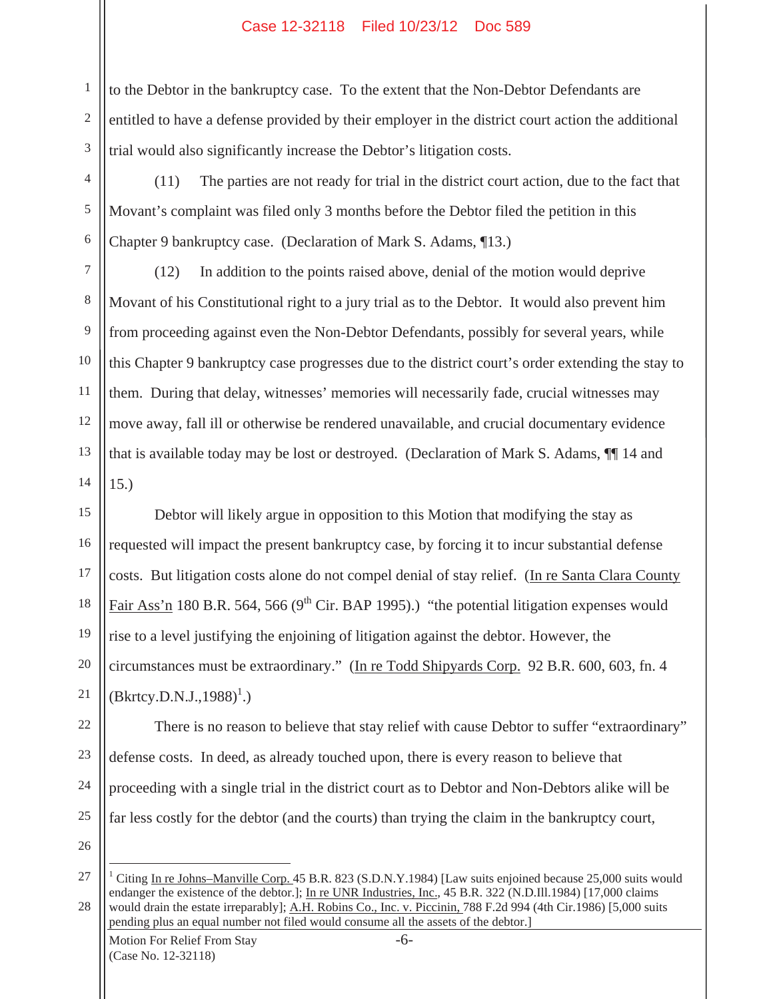1 2 3 to the Debtor in the bankruptcy case. To the extent that the Non-Debtor Defendants are entitled to have a defense provided by their employer in the district court action the additional trial would also significantly increase the Debtor's litigation costs.

 (11) The parties are not ready for trial in the district court action, due to the fact that Movant's complaint was filed only 3 months before the Debtor filed the petition in this Chapter 9 bankruptcy case. (Declaration of Mark S. Adams, ¶13.)

7 8 9 10 11 12 13 14 (12) In addition to the points raised above, denial of the motion would deprive Movant of his Constitutional right to a jury trial as to the Debtor. It would also prevent him from proceeding against even the Non-Debtor Defendants, possibly for several years, while this Chapter 9 bankruptcy case progresses due to the district court's order extending the stay to them. During that delay, witnesses' memories will necessarily fade, crucial witnesses may move away, fall ill or otherwise be rendered unavailable, and crucial documentary evidence that is available today may be lost or destroyed. (Declaration of Mark S. Adams, ¶¶ 14 and 15.)

15 16 17 18 19 20 21 Debtor will likely argue in opposition to this Motion that modifying the stay as requested will impact the present bankruptcy case, by forcing it to incur substantial defense costs. But litigation costs alone do not compel denial of stay relief. (In re Santa Clara County Fair Ass'n 180 B.R. 564, 566 ( $9<sup>th</sup>$  Cir. BAP 1995).) "the potential litigation expenses would rise to a level justifying the enjoining of litigation against the debtor. However, the circumstances must be extraordinary." (In re Todd Shipyards Corp. 92 B.R. 600, 603, fn. 4  $(Bkrtcy.D.N.J.,1988)^{1}$ .)

22 23 24 25 There is no reason to believe that stay relief with cause Debtor to suffer "extraordinary" defense costs. In deed, as already touched upon, there is every reason to believe that proceeding with a single trial in the district court as to Debtor and Non-Debtors alike will be far less costly for the debtor (and the courts) than trying the claim in the bankruptcy court,

26

4

5

6

<sup>27</sup> 28 1 Citing In re Johns–Manville Corp. 45 B.R. 823 (S.D.N.Y.1984) [Law suits enjoined because 25,000 suits would endanger the existence of the debtor.]; In re UNR Industries, Inc.*,* 45 B.R. 322 (N.D.Ill.1984) [17,000 claims would drain the estate irreparably]; A.H. Robins Co., Inc. v. Piccinin, 788 F.2d 994 (4th Cir.1986) [5,000 suits pending plus an equal number not filed would consume all the assets of the debtor.]